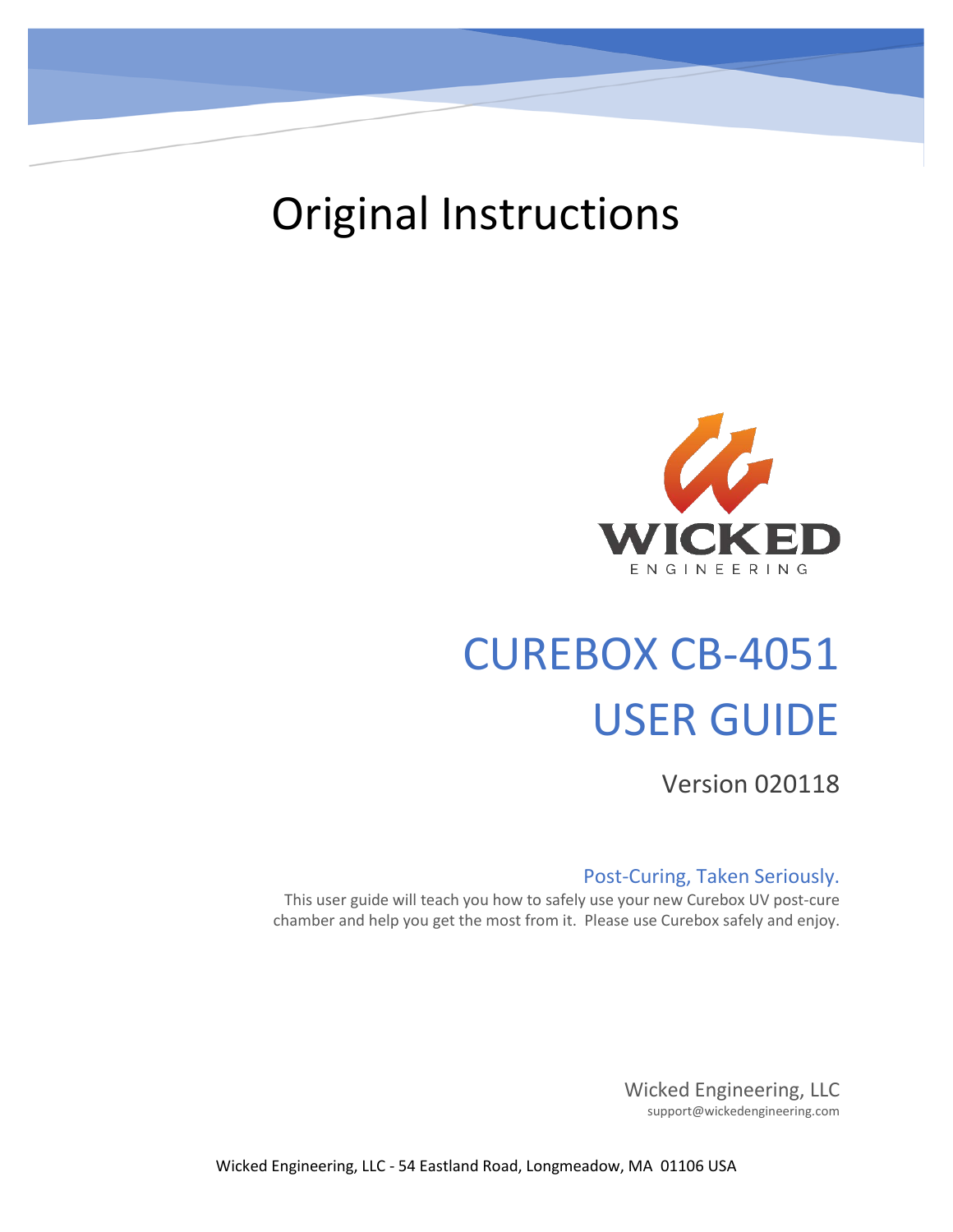

## Original Instructions



# CUREBOX CB-4051 USER GUIDE

Version 020118

#### Post-Curing, Taken Seriously.

This user guide will teach you how to safely use your new Curebox UV post-cure chamber and help you get the most from it. Please use Curebox safely and enjoy.

> Wicked Engineering, LLC support@wickedengineering.com

Wicked Engineering, LLC - 54 Eastland Road, Longmeadow, MA 01106 USA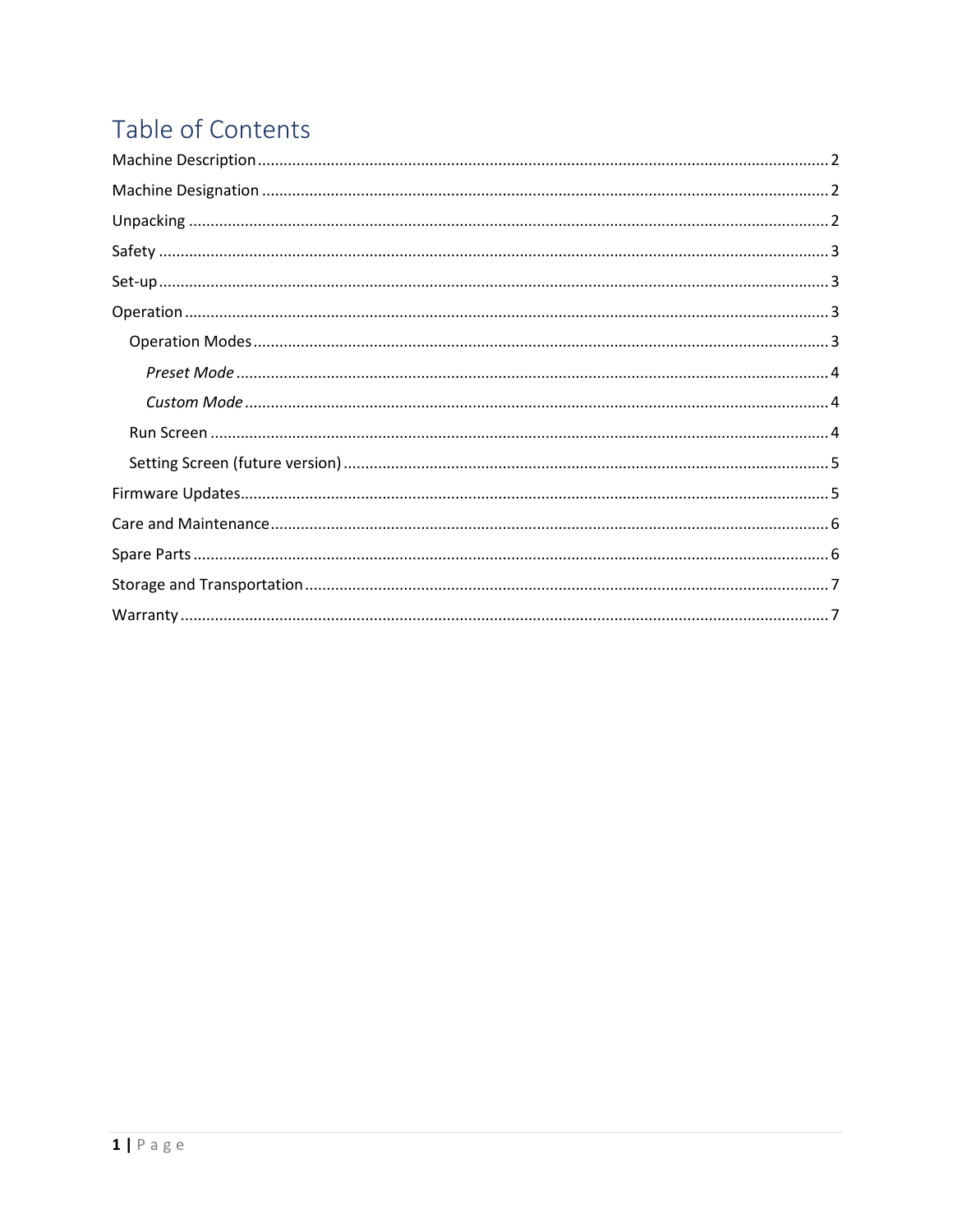## Table of Contents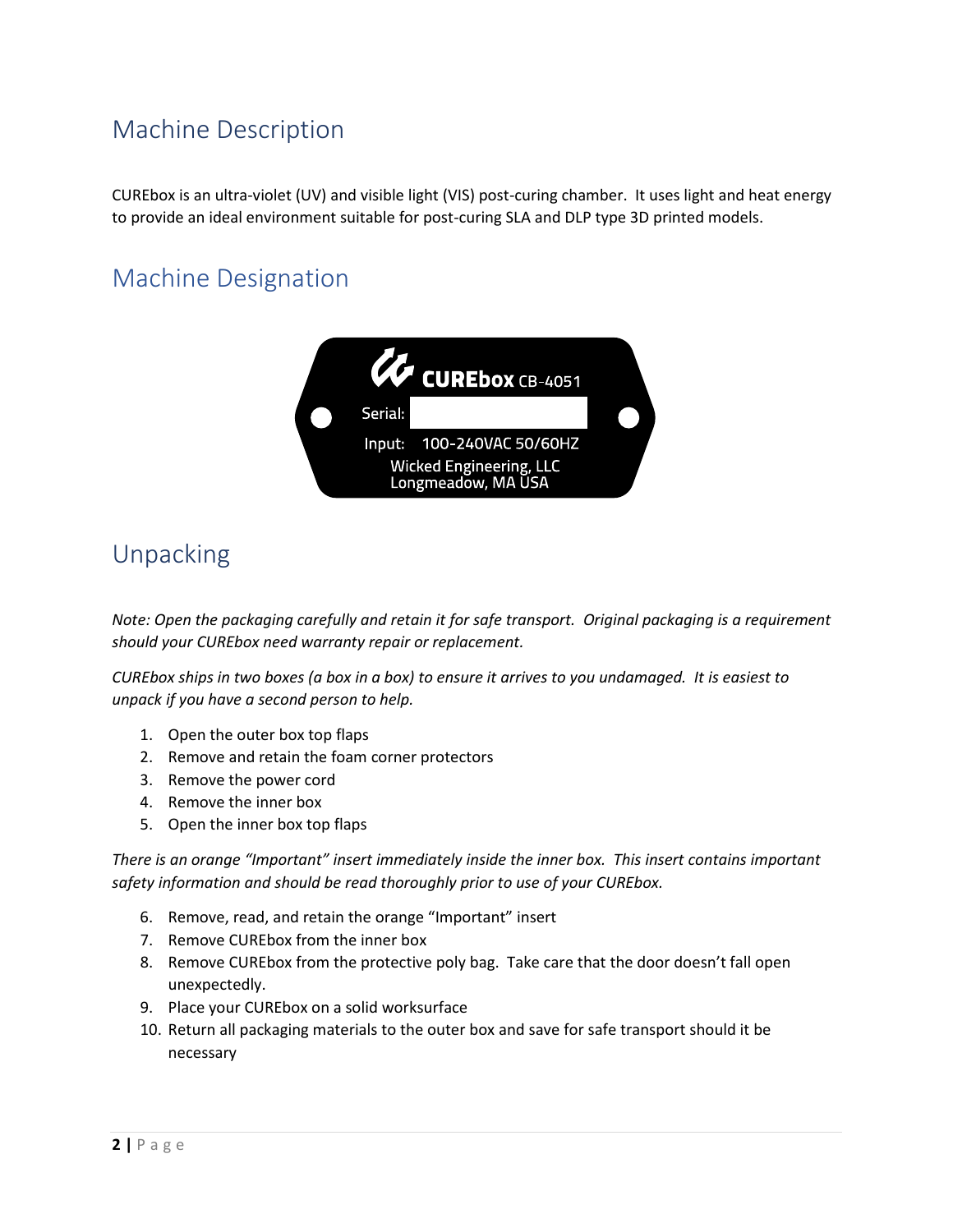## <span id="page-2-0"></span>Machine Description

CUREbox is an ultra-violet (UV) and visible light (VIS) post-curing chamber. It uses light and heat energy to provide an ideal environment suitable for post-curing SLA and DLP type 3D printed models.

## <span id="page-2-1"></span>Machine Designation



## <span id="page-2-2"></span>Unpacking

*Note: Open the packaging carefully and retain it for safe transport. Original packaging is a requirement should your CUREbox need warranty repair or replacement.*

*CUREbox ships in two boxes (a box in a box) to ensure it arrives to you undamaged. It is easiest to unpack if you have a second person to help.*

- 1. Open the outer box top flaps
- 2. Remove and retain the foam corner protectors
- 3. Remove the power cord
- 4. Remove the inner box
- 5. Open the inner box top flaps

*There is an orange "Important" insert immediately inside the inner box. This insert contains important safety information and should be read thoroughly prior to use of your CUREbox.*

- 6. Remove, read, and retain the orange "Important" insert
- 7. Remove CUREbox from the inner box
- 8. Remove CUREbox from the protective poly bag. Take care that the door doesn't fall open unexpectedly.
- 9. Place your CUREbox on a solid worksurface
- 10. Return all packaging materials to the outer box and save for safe transport should it be necessary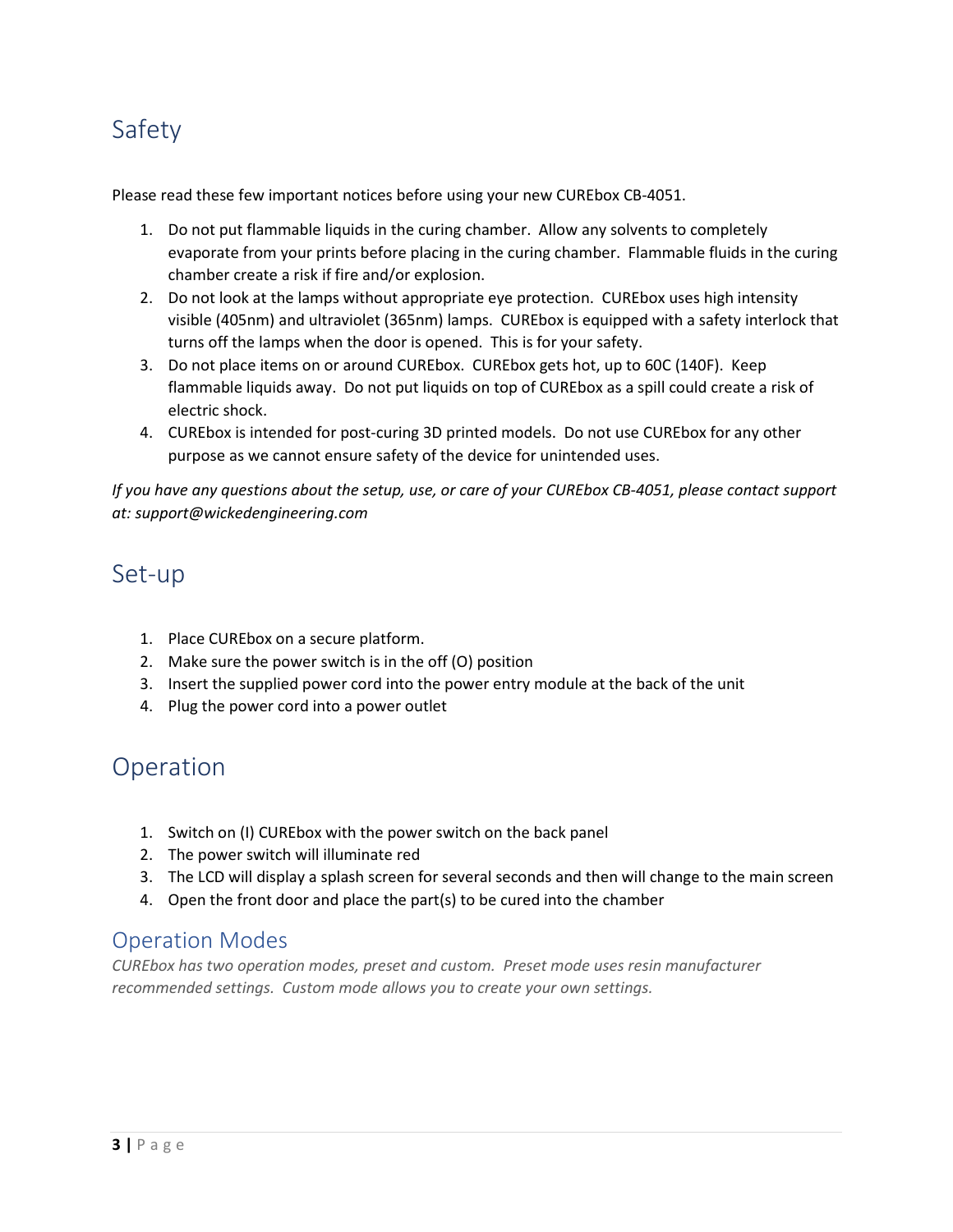## <span id="page-3-0"></span>Safety

Please read these few important notices before using your new CUREbox CB-4051.

- 1. Do not put flammable liquids in the curing chamber. Allow any solvents to completely evaporate from your prints before placing in the curing chamber. Flammable fluids in the curing chamber create a risk if fire and/or explosion.
- 2. Do not look at the lamps without appropriate eye protection. CUREbox uses high intensity visible (405nm) and ultraviolet (365nm) lamps. CUREbox is equipped with a safety interlock that turns off the lamps when the door is opened. This is for your safety.
- 3. Do not place items on or around CUREbox. CUREbox gets hot, up to 60C (140F). Keep flammable liquids away. Do not put liquids on top of CUREbox as a spill could create a risk of electric shock.
- 4. CUREbox is intended for post-curing 3D printed models. Do not use CUREbox for any other purpose as we cannot ensure safety of the device for unintended uses.

*If you have any questions about the setup, use, or care of your CUREbox CB-4051, please contact support at: support@wickedengineering.com*

#### <span id="page-3-1"></span>Set-up

- 1. Place CUREbox on a secure platform.
- 2. Make sure the power switch is in the off (O) position
- 3. Insert the supplied power cord into the power entry module at the back of the unit
- 4. Plug the power cord into a power outlet

## <span id="page-3-2"></span>Operation

- 1. Switch on (I) CUREbox with the power switch on the back panel
- 2. The power switch will illuminate red
- 3. The LCD will display a splash screen for several seconds and then will change to the main screen
- 4. Open the front door and place the part(s) to be cured into the chamber

#### <span id="page-3-3"></span>Operation Modes

*CUREbox has two operation modes, preset and custom. Preset mode uses resin manufacturer recommended settings. Custom mode allows you to create your own settings.*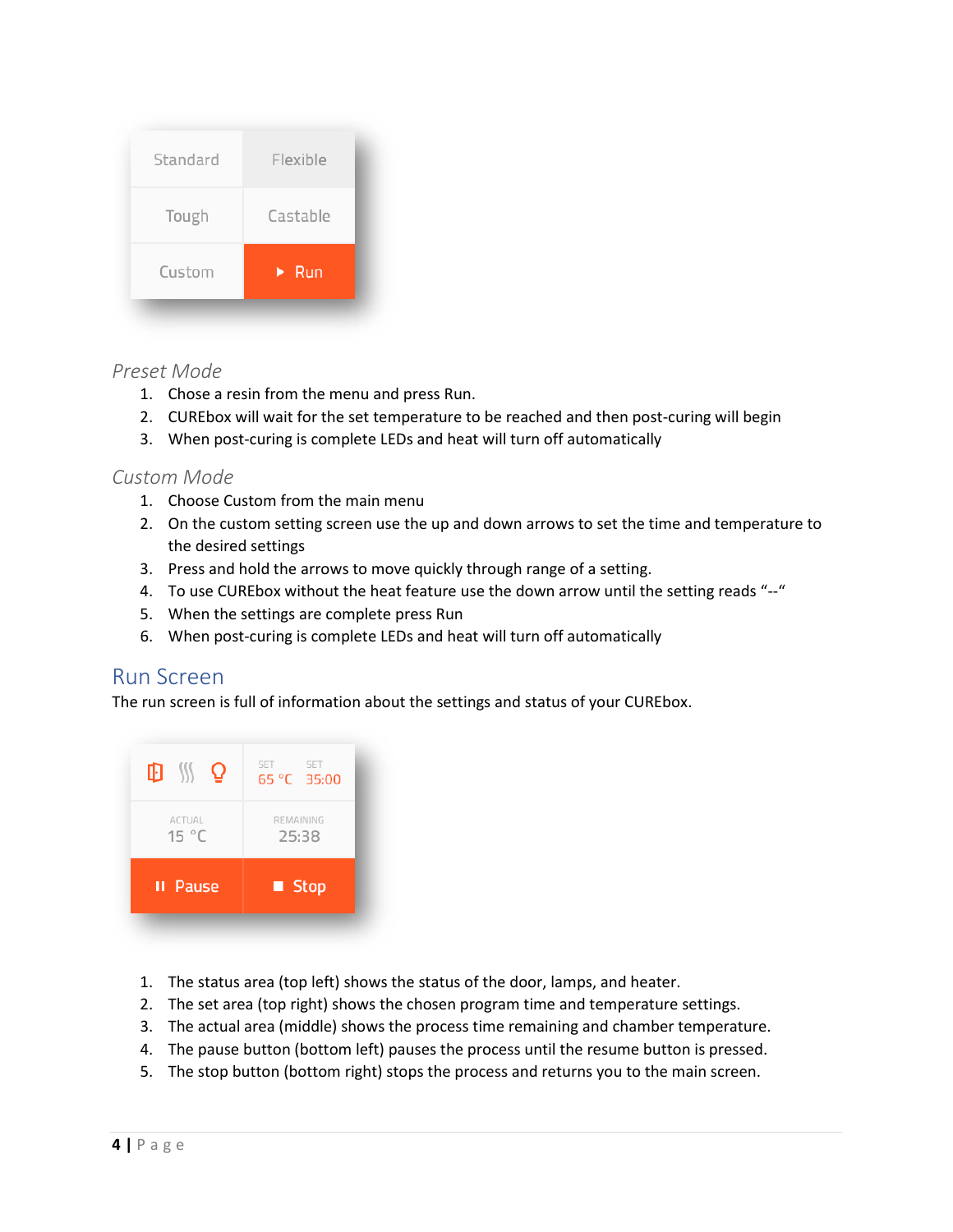| Castable<br>Tough                   |  |
|-------------------------------------|--|
|                                     |  |
| Custom<br>$\blacktriangleright$ Run |  |

#### <span id="page-4-0"></span>*Preset Mode*

- 1. Chose a resin from the menu and press Run.
- 2. CUREbox will wait for the set temperature to be reached and then post-curing will begin
- 3. When post-curing is complete LEDs and heat will turn off automatically

#### <span id="page-4-1"></span>*Custom Mode*

- 1. Choose Custom from the main menu
- 2. On the custom setting screen use the up and down arrows to set the time and temperature to the desired settings
- 3. Press and hold the arrows to move quickly through range of a setting.
- 4. To use CUREbox without the heat feature use the down arrow until the setting reads "--"
- 5. When the settings are complete press Run
- 6. When post-curing is complete LEDs and heat will turn off automatically

#### <span id="page-4-2"></span>Run Screen

The run screen is full of information about the settings and status of your CUREbox.



- 1. The status area (top left) shows the status of the door, lamps, and heater.
- 2. The set area (top right) shows the chosen program time and temperature settings.
- 3. The actual area (middle) shows the process time remaining and chamber temperature.
- 4. The pause button (bottom left) pauses the process until the resume button is pressed.
- 5. The stop button (bottom right) stops the process and returns you to the main screen.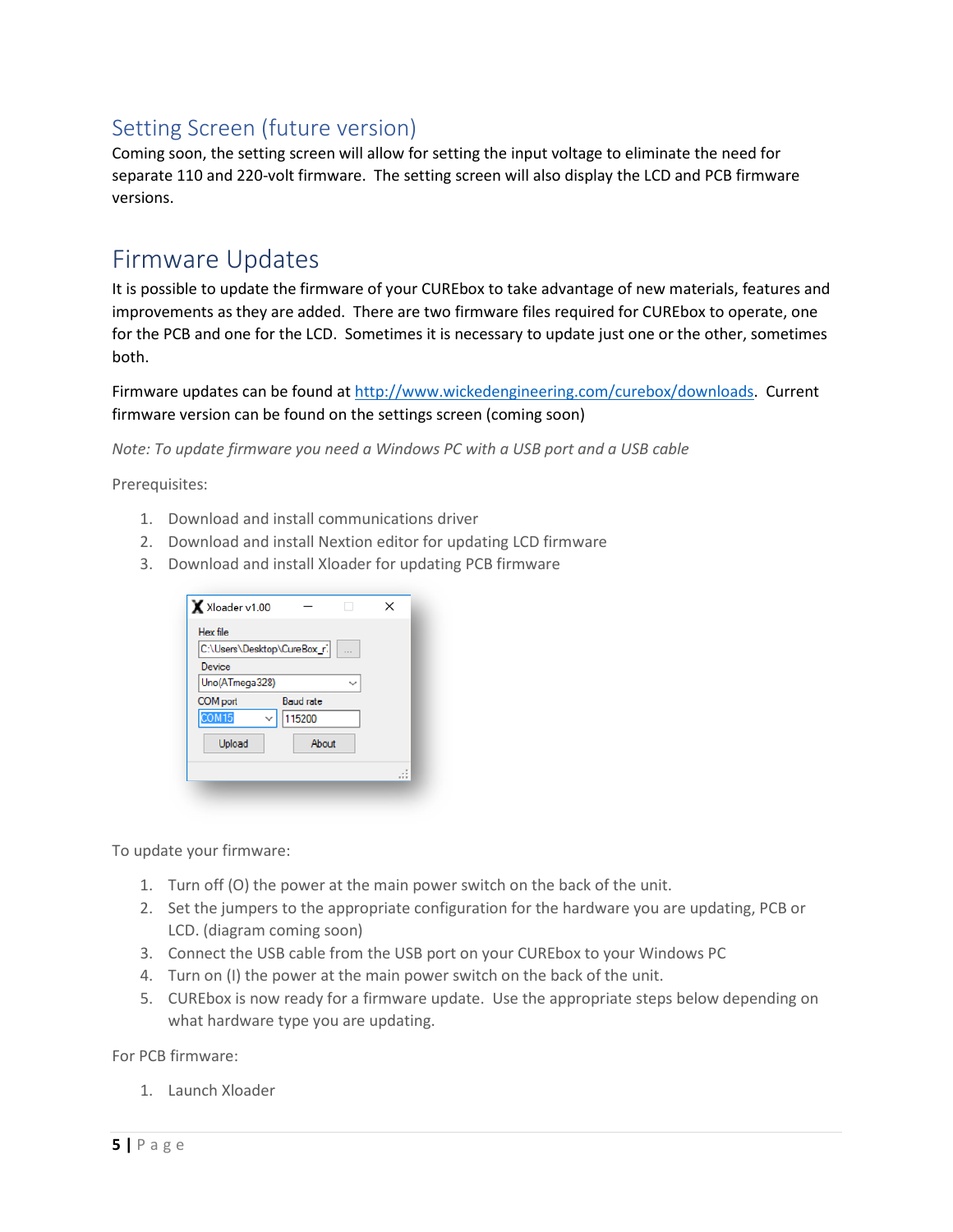#### <span id="page-5-0"></span>Setting Screen (future version)

Coming soon, the setting screen will allow for setting the input voltage to eliminate the need for separate 110 and 220-volt firmware. The setting screen will also display the LCD and PCB firmware versions.

## <span id="page-5-1"></span>Firmware Updates

It is possible to update the firmware of your CUREbox to take advantage of new materials, features and improvements as they are added. There are two firmware files required for CUREbox to operate, one for the PCB and one for the LCD. Sometimes it is necessary to update just one or the other, sometimes both.

Firmware updates can be found at [http://www.wickedengineering.com/curebox/downloads.](http://www.wickedengineering.com/curebox/downloads) Current firmware version can be found on the settings screen (coming soon)

*Note: To update firmware you need a Windows PC with a USB port and a USB cable*

Prerequisites:

- 1. Download and install communications driver
- 2. Download and install Nextion editor for updating LCD firmware
- 3. Download and install Xloader for updating PCB firmware

| X Xloader v1.00             |                  |         |
|-----------------------------|------------------|---------|
| Hex file                    |                  |         |
| C:\Users\Desktop\CureBox_r. |                  |         |
| Device                      |                  |         |
| Uno(ATmega328)              |                  |         |
| COM port                    | <b>Baud rate</b> |         |
| COM <sub>15</sub>           | 115200           |         |
| Upload                      | About            |         |
|                             |                  | $x = x$ |

To update your firmware:

- 1. Turn off (O) the power at the main power switch on the back of the unit.
- 2. Set the jumpers to the appropriate configuration for the hardware you are updating, PCB or LCD. (diagram coming soon)
- 3. Connect the USB cable from the USB port on your CUREbox to your Windows PC
- 4. Turn on (I) the power at the main power switch on the back of the unit.
- 5. CUREbox is now ready for a firmware update. Use the appropriate steps below depending on what hardware type you are updating.

For PCB firmware:

1. Launch Xloader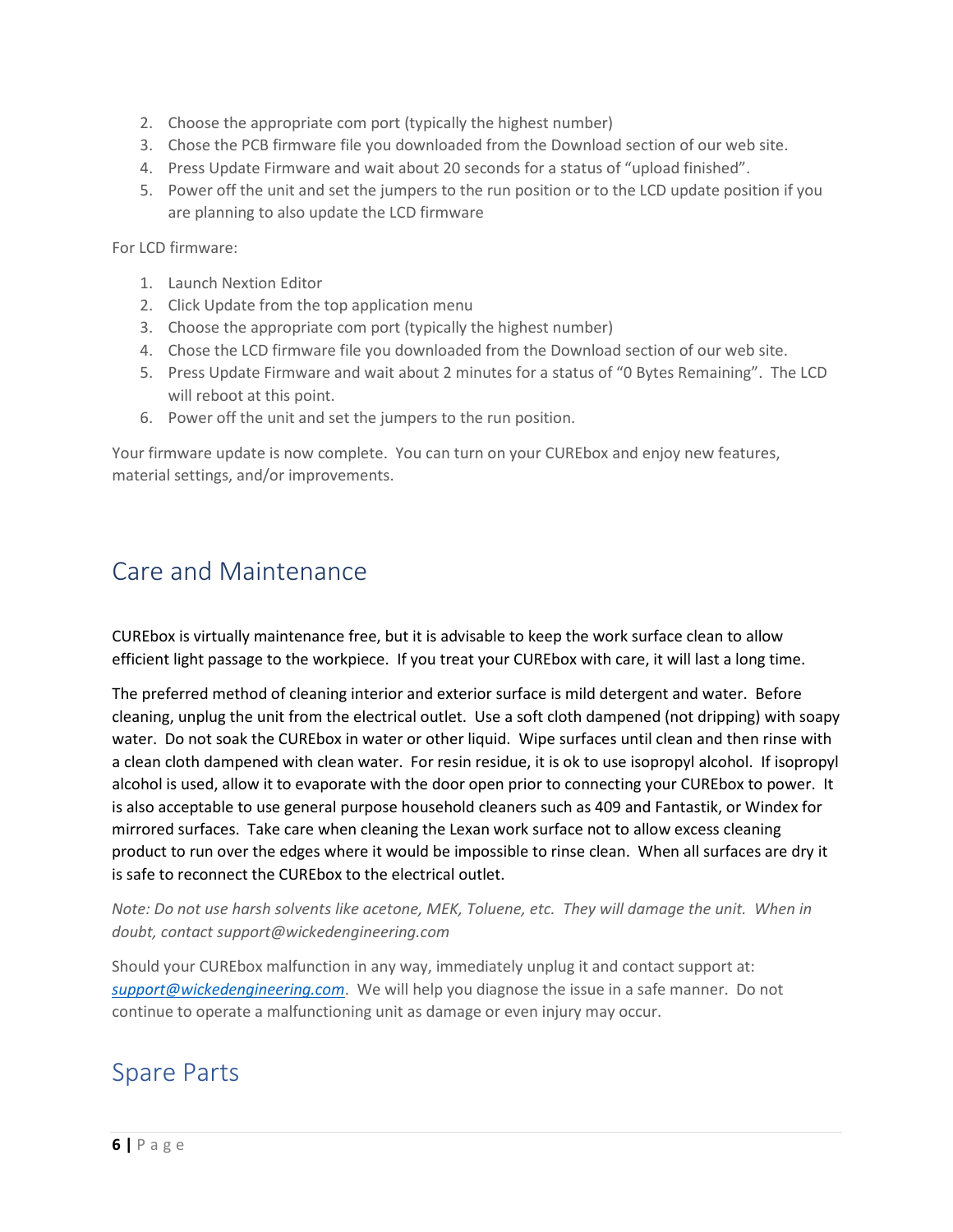- 2. Choose the appropriate com port (typically the highest number)
- 3. Chose the PCB firmware file you downloaded from the Download section of our web site.
- 4. Press Update Firmware and wait about 20 seconds for a status of "upload finished".
- 5. Power off the unit and set the jumpers to the run position or to the LCD update position if you are planning to also update the LCD firmware

For LCD firmware:

- 1. Launch Nextion Editor
- 2. Click Update from the top application menu
- 3. Choose the appropriate com port (typically the highest number)
- 4. Chose the LCD firmware file you downloaded from the Download section of our web site.
- 5. Press Update Firmware and wait about 2 minutes for a status of "0 Bytes Remaining". The LCD will reboot at this point.
- 6. Power off the unit and set the jumpers to the run position.

Your firmware update is now complete. You can turn on your CUREbox and enjoy new features, material settings, and/or improvements.

## <span id="page-6-0"></span>Care and Maintenance

CUREbox is virtually maintenance free, but it is advisable to keep the work surface clean to allow efficient light passage to the workpiece. If you treat your CUREbox with care, it will last a long time.

The preferred method of cleaning interior and exterior surface is mild detergent and water. Before cleaning, unplug the unit from the electrical outlet. Use a soft cloth dampened (not dripping) with soapy water. Do not soak the CUREbox in water or other liquid. Wipe surfaces until clean and then rinse with a clean cloth dampened with clean water. For resin residue, it is ok to use isopropyl alcohol. If isopropyl alcohol is used, allow it to evaporate with the door open prior to connecting your CUREbox to power. It is also acceptable to use general purpose household cleaners such as 409 and Fantastik, or Windex for mirrored surfaces. Take care when cleaning the Lexan work surface not to allow excess cleaning product to run over the edges where it would be impossible to rinse clean. When all surfaces are dry it is safe to reconnect the CUREbox to the electrical outlet.

*Note: Do not use harsh solvents like acetone, MEK, Toluene, etc. They will damage the unit. When in doubt, contact [support@wickedengineering.com](mailto:support@wickedengineering.com)*

Should your CUREbox malfunction in any way, immediately unplug it and contact support at: *[support@wickedengineering.com](mailto:support@wickedengineering.com)*. We will help you diagnose the issue in a safe manner. Do not continue to operate a malfunctioning unit as damage or even injury may occur.

## <span id="page-6-1"></span>Spare Parts